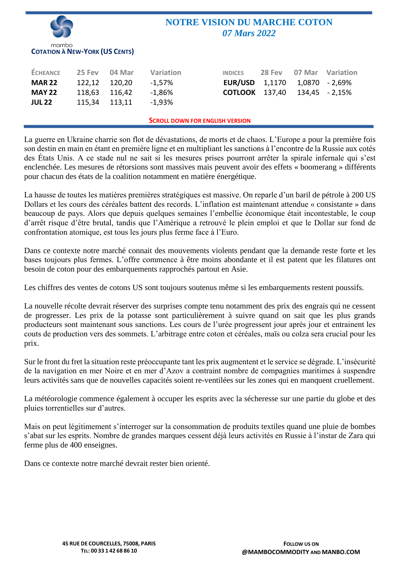|                                                |        |        | <b>NOTRE VISION DU MARCHE COTON</b><br>07 Mars 2022 |                |        |        |           |  |  |  |
|------------------------------------------------|--------|--------|-----------------------------------------------------|----------------|--------|--------|-----------|--|--|--|
| mambo<br><b>COTATION À NEW-YORK (US CENTS)</b> |        |        |                                                     |                |        |        |           |  |  |  |
| <b>ÉCHEANCE</b>                                | 25 Fev | 04 Mar | Variation                                           | <b>INDICES</b> | 28 Fev | 07 Mar | Variation |  |  |  |
| <b>MAR 22</b>                                  | 122,12 | 120,20 | $-1,57%$                                            | EUR/USD        | 1,1170 | 1,0870 | $-2,69%$  |  |  |  |
| <b>MAY 22</b>                                  | 118,63 | 116,42 | $-1,86%$                                            | <b>COTLOOK</b> | 137,40 | 134,45 | $-2,15%$  |  |  |  |
| <b>JUL 22</b>                                  | 115,34 | 113,11 | $-1,93%$                                            |                |        |        |           |  |  |  |
| <b>SCROLL DOWN FOR ENGLISH VERSION</b>         |        |        |                                                     |                |        |        |           |  |  |  |

La guerre en Ukraine charrie son flot de dévastations, de morts et de chaos. L'Europe a pour la première fois son destin en main en étant en première ligne et en multipliant les sanctions à l'encontre de la Russie aux cotés des États Unis. A ce stade nul ne sait si les mesures prises pourront arrêter la spirale infernale qui s'est enclenchée. Les mesures de rétorsions sont massives mais peuvent avoir des effets « boomerang » différents pour chacun des états de la coalition notamment en matière énergétique.

La hausse de toutes les matières premières stratégiques est massive. On reparle d'un baril de pétrole à 200 US Dollars et les cours des céréales battent des records. L'inflation est maintenant attendue « consistante » dans beaucoup de pays. Alors que depuis quelques semaines l'embellie économique était incontestable, le coup d'arrêt risque d'être brutal, tandis que l'Amérique a retrouvé le plein emploi et que le Dollar sur fond de confrontation atomique, est tous les jours plus ferme face à l'Euro.

Dans ce contexte notre marché connait des mouvements violents pendant que la demande reste forte et les bases toujours plus fermes. L'offre commence à être moins abondante et il est patent que les filatures ont besoin de coton pour des embarquements rapprochés partout en Asie.

Les chiffres des ventes de cotons US sont toujours soutenus même si les embarquements restent poussifs.

La nouvelle récolte devrait réserver des surprises compte tenu notamment des prix des engrais qui ne cessent de progresser. Les prix de la potasse sont particulièrement à suivre quand on sait que les plus grands producteurs sont maintenant sous sanctions. Les cours de l'urée progressent jour après jour et entrainent les couts de production vers des sommets. L'arbitrage entre coton et céréales, maïs ou colza sera crucial pour les prix.

Sur le front du fret la situation reste préoccupante tant les prix augmentent et le service se dégrade. L'insécurité de la navigation en mer Noire et en mer d'Azov a contraint nombre de compagnies maritimes à suspendre leurs activités sans que de nouvelles capacités soient re-ventilées sur les zones qui en manquent cruellement.

La météorologie commence également à occuper les esprits avec la sécheresse sur une partie du globe et des pluies torrentielles sur d'autres.

Mais on peut légitimement s'interroger sur la consommation de produits textiles quand une pluie de bombes s'abat sur les esprits. Nombre de grandes marques cessent déjà leurs activités en Russie à l'instar de Zara qui ferme plus de 400 enseignes.

Dans ce contexte notre marché devrait rester bien orienté.